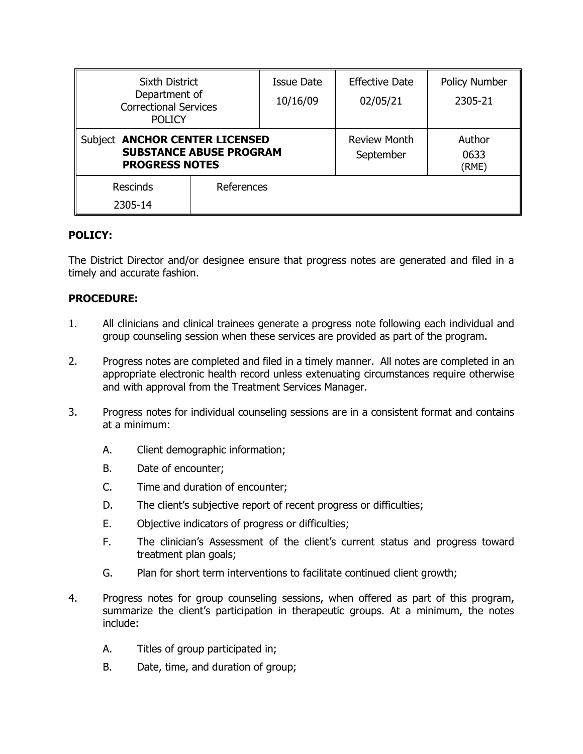| <b>Sixth District</b><br>Department of<br><b>Correctional Services</b><br><b>POLICY</b>   |            | Issue Date | <b>Effective Date</b>            | <b>Policy Number</b>    |
|-------------------------------------------------------------------------------------------|------------|------------|----------------------------------|-------------------------|
|                                                                                           |            | 10/16/09   | 02/05/21                         | 2305-21                 |
| Subject ANCHOR CENTER LICENSED<br><b>SUBSTANCE ABUSE PROGRAM</b><br><b>PROGRESS NOTES</b> |            |            | <b>Review Month</b><br>September | Author<br>0633<br>(RME) |
| <b>Rescinds</b>                                                                           | References |            |                                  |                         |
| 2305-14                                                                                   |            |            |                                  |                         |

## **POLICY:**

The District Director and/or designee ensure that progress notes are generated and filed in a timely and accurate fashion.

## **PROCEDURE:**

- 1. All clinicians and clinical trainees generate a progress note following each individual and group counseling session when these services are provided as part of the program.
- 2. Progress notes are completed and filed in a timely manner. All notes are completed in an appropriate electronic health record unless extenuating circumstances require otherwise and with approval from the Treatment Services Manager.
- 3. Progress notes for individual counseling sessions are in a consistent format and contains at a minimum:
	- A. Client demographic information;
	- B. Date of encounter;
	- C. Time and duration of encounter;
	- D. The client's subjective report of recent progress or difficulties;
	- E. Objective indicators of progress or difficulties;
	- F. The clinician's Assessment of the client's current status and progress toward treatment plan goals;
	- G. Plan for short term interventions to facilitate continued client growth;
- 4. Progress notes for group counseling sessions, when offered as part of this program, summarize the client's participation in therapeutic groups. At a minimum, the notes include:
	- A. Titles of group participated in;
	- B. Date, time, and duration of group;